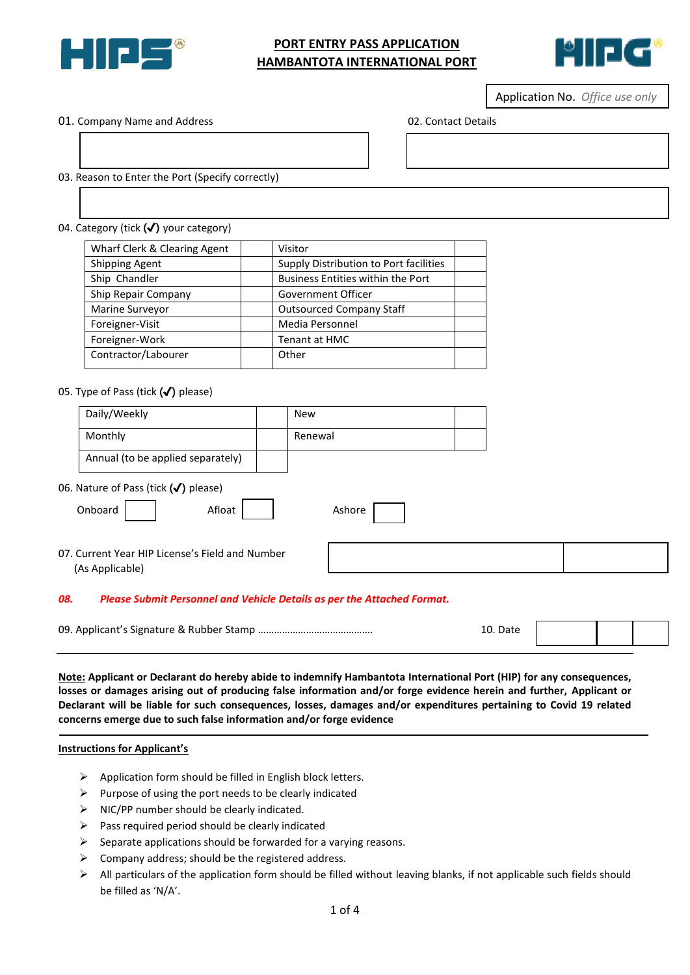

# **PORT ENTRY PASS APPLICATION HAMBANTOTA INTERNATIONAL PORT**



Application No. *Office use only*

01. Company Name and Address 02. Contact Details

- 03. Reason to Enter the Port (Specify correctly)
- 04. Category (tick (✔) your category)

| Wharf Clerk & Clearing Agent | Visitor                                  |  |
|------------------------------|------------------------------------------|--|
| <b>Shipping Agent</b>        | Supply Distribution to Port facilities   |  |
| Ship Chandler                | <b>Business Entities within the Port</b> |  |
| Ship Repair Company          | Government Officer                       |  |
| Marine Surveyor              | <b>Outsourced Company Staff</b>          |  |
| Foreigner-Visit              | Media Personnel                          |  |
| Foreigner-Work               | Tenant at HMC                            |  |
| Contractor/Labourer          | Other                                    |  |
|                              |                                          |  |

٦

### 05. Type of Pass (tick  $(\checkmark)$  please)

|    | Daily/Weekly                                                                  | <b>New</b> |  |  |
|----|-------------------------------------------------------------------------------|------------|--|--|
|    | Monthly                                                                       | Renewal    |  |  |
|    | Annual (to be applied separately)                                             |            |  |  |
|    | 06. Nature of Pass (tick $(\checkmark)$ please)                               |            |  |  |
|    | Onboard<br>Afloat                                                             | Ashore     |  |  |
|    | 07. Current Year HIP License's Field and Number<br>(As Applicable)            |            |  |  |
| N. | <b>Please Submit Personnel and Vehicle Details as ner the Attached Format</b> |            |  |  |

#### *08. Please Submit Personnel and Vehicle Details as per the Attached Format.*

|  | 10.<br>. Date |  |  |  |
|--|---------------|--|--|--|
|--|---------------|--|--|--|

**Note: Applicant or Declarant do hereby abide to indemnify Hambantota International Port (HIP) for any consequences, losses or damages arising out of producing false information and/or forge evidence herein and further, Applicant or Declarant will be liable for such consequences, losses, damages and/or expenditures pertaining to Covid 19 related concerns emerge due to such false information and/or forge evidence**

#### **Instructions for Applicant's**

- $\triangleright$  Application form should be filled in English block letters.
- $\triangleright$  Purpose of using the port needs to be clearly indicated
- $\triangleright$  NIC/PP number should be clearly indicated.
- $\triangleright$  Pass required period should be clearly indicated
- $\triangleright$  Separate applications should be forwarded for a varying reasons.
- $\triangleright$  Company address; should be the registered address.
- $\triangleright$  All particulars of the application form should be filled without leaving blanks, if not applicable such fields should be filled as 'N/A'.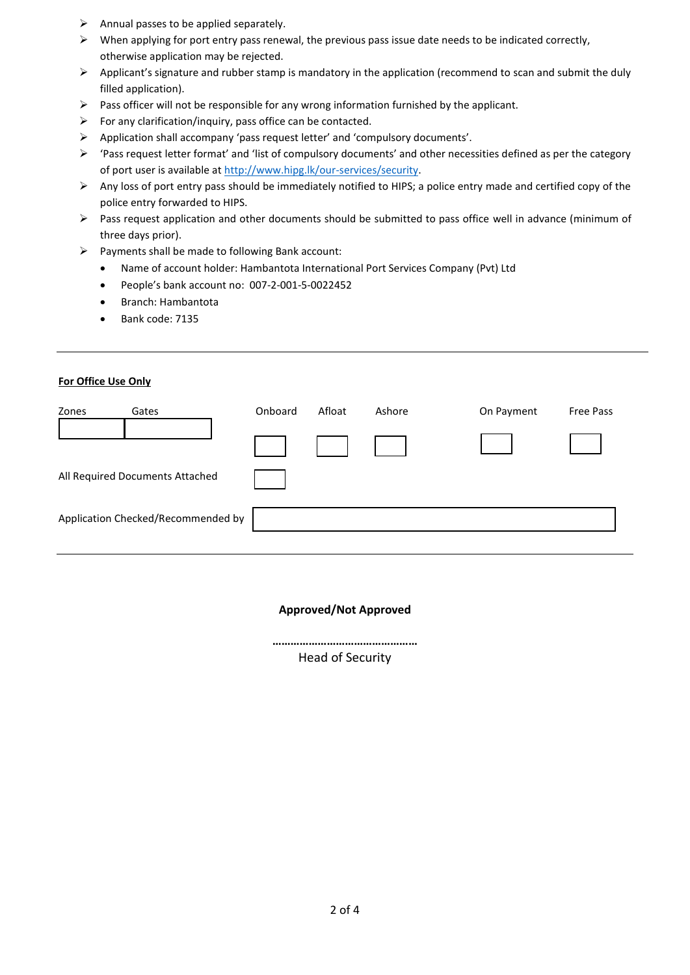- $\triangleright$  Annual passes to be applied separately.
- $\triangleright$  When applying for port entry pass renewal, the previous pass issue date needs to be indicated correctly, otherwise application may be rejected.
- $\triangleright$  Applicant's signature and rubber stamp is mandatory in the application (recommend to scan and submit the duly filled application).
- $\triangleright$  Pass officer will not be responsible for any wrong information furnished by the applicant.
- $\triangleright$  For any clarification/inquiry, pass office can be contacted.
- Application shall accompany 'pass request letter' and 'compulsory documents'.
- 'Pass request letter format' and 'list of compulsory documents' and other necessities defined as per the category of port user is available at [http://www.hipg.lk/our-services/security.](http://www.hipg.lk/our-services/security)
- Any loss of port entry pass should be immediately notified to HIPS; a police entry made and certified copy of the police entry forwarded to HIPS.
- Pass request application and other documents should be submitted to pass office well in advance (minimum of three days prior).
- $\triangleright$  Payments shall be made to following Bank account:
	- Name of account holder: Hambantota International Port Services Company (Pvt) Ltd
	- People's bank account no: 007-2-001-5-0022452
	- Branch: Hambantota
	- Bank code: 7135

# **For Office Use Only**

| Zones | Gates                              | Onboard | Afloat | Ashore | On Payment | <b>Free Pass</b> |
|-------|------------------------------------|---------|--------|--------|------------|------------------|
|       |                                    |         |        |        |            |                  |
|       | All Required Documents Attached    |         |        |        |            |                  |
|       | Application Checked/Recommended by |         |        |        |            |                  |

### **Approved/Not Approved**

**…………………………………………** Head of Security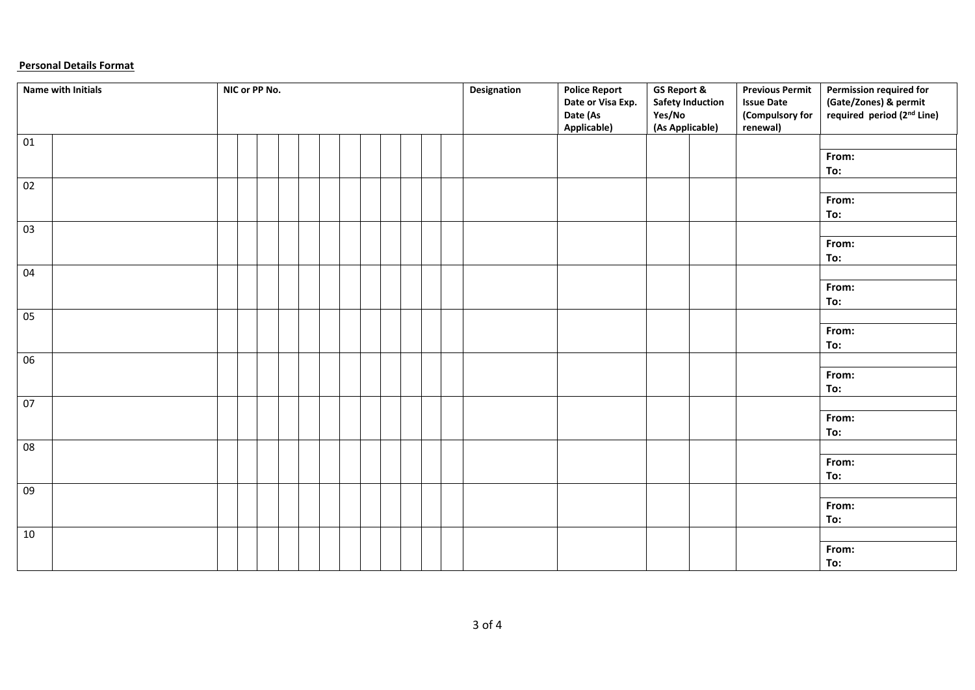# **Personal Details Format**

|                 | Name with Initials | NIC or PP No. |  |  |  |  |  | Designation | <b>Police Report</b>                         | <b>GS Report &amp;</b>    |                         | <b>Previous Permit</b>                           | Permission required for                                         |
|-----------------|--------------------|---------------|--|--|--|--|--|-------------|----------------------------------------------|---------------------------|-------------------------|--------------------------------------------------|-----------------------------------------------------------------|
|                 |                    |               |  |  |  |  |  |             | Date or Visa Exp.<br>Date (As<br>Applicable) | Yes/No<br>(As Applicable) | <b>Safety Induction</b> | <b>Issue Date</b><br>(Compulsory for<br>renewal) | (Gate/Zones) & permit<br>required period (2 <sup>nd</sup> Line) |
| 01              |                    |               |  |  |  |  |  |             |                                              |                           |                         |                                                  |                                                                 |
|                 |                    |               |  |  |  |  |  |             |                                              |                           |                         |                                                  | From:<br>To:                                                    |
| 02              |                    |               |  |  |  |  |  |             |                                              |                           |                         |                                                  |                                                                 |
|                 |                    |               |  |  |  |  |  |             |                                              |                           |                         |                                                  | From:<br>To:                                                    |
| 03              |                    |               |  |  |  |  |  |             |                                              |                           |                         |                                                  |                                                                 |
|                 |                    |               |  |  |  |  |  |             |                                              |                           |                         |                                                  | From:<br>To:                                                    |
| 04              |                    |               |  |  |  |  |  |             |                                              |                           |                         |                                                  |                                                                 |
|                 |                    |               |  |  |  |  |  |             |                                              |                           |                         |                                                  | From:<br>To:                                                    |
| 05              |                    |               |  |  |  |  |  |             |                                              |                           |                         |                                                  |                                                                 |
|                 |                    |               |  |  |  |  |  |             |                                              |                           |                         |                                                  | From:<br>To:                                                    |
| 06              |                    |               |  |  |  |  |  |             |                                              |                           |                         |                                                  |                                                                 |
|                 |                    |               |  |  |  |  |  |             |                                              |                           |                         |                                                  | From:<br>To:                                                    |
| 07              |                    |               |  |  |  |  |  |             |                                              |                           |                         |                                                  |                                                                 |
|                 |                    |               |  |  |  |  |  |             |                                              |                           |                         |                                                  | From:<br>To:                                                    |
| 08              |                    |               |  |  |  |  |  |             |                                              |                           |                         |                                                  |                                                                 |
|                 |                    |               |  |  |  |  |  |             |                                              |                           |                         |                                                  | From:<br>To:                                                    |
| $\overline{09}$ |                    |               |  |  |  |  |  |             |                                              |                           |                         |                                                  |                                                                 |
|                 |                    |               |  |  |  |  |  |             |                                              |                           |                         |                                                  | From:<br>To:                                                    |
| $10\,$          |                    |               |  |  |  |  |  |             |                                              |                           |                         |                                                  |                                                                 |
|                 |                    |               |  |  |  |  |  |             |                                              |                           |                         |                                                  | From:<br>To:                                                    |